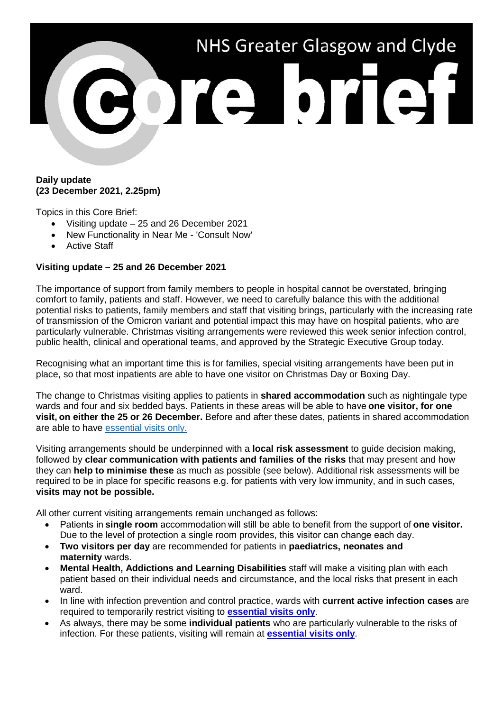

#### **Daily update (23 December 2021, 2.25pm)**

Topics in this Core Brief:

- Visiting update 25 and 26 December 2021
- New Functionality in Near Me 'Consult Now'
- Active Staff

# **Visiting update – 25 and 26 December 2021**

The importance of support from family members to people in hospital cannot be overstated, bringing comfort to family, patients and staff. However, we need to carefully balance this with the additional potential risks to patients, family members and staff that visiting brings, particularly with the increasing rate of transmission of the Omicron variant and potential impact this may have on hospital patients, who are particularly vulnerable. Christmas visiting arrangements were reviewed this week senior infection control, public health, clinical and operational teams, and approved by the Strategic Executive Group today.

Recognising what an important time this is for families, special visiting arrangements have been put in place, so that most inpatients are able to have one visitor on Christmas Day or Boxing Day.

The change to Christmas visiting applies to patients in **shared accommodation** such as nightingale type wards and four and six bedded bays. Patients in these areas will be able to have **one visitor, for one visit, on either the 25 or 26 December.** Before and after these dates, patients in shared accommodation are able to have [essential visits only.](https://nhsggc.us17.list-manage.com/track/click?u=b7ac936bf5561a5e727ef20dd&id=7027d2e9a9&e=2b182cc329)

Visiting arrangements should be underpinned with a **local risk assessment** to guide decision making, followed by **clear communication with patients and families of the risks** that may present and how they can **help to minimise these** as much as possible (see below). Additional risk assessments will be required to be in place for specific reasons e.g. for patients with very low immunity, and in such cases, **visits may not be possible.**

All other current visiting arrangements remain unchanged as follows:

- Patients in **single room** accommodation will still be able to benefit from the support of **one visitor.**  Due to the level of protection a single room provides, this visitor can change each day.
- **Two visitors per day** are recommended for patients in **paediatrics, neonates and maternity** wards.
- **Mental Health, Addictions and Learning Disabilities** staff will make a visiting plan with each patient based on their individual needs and circumstance, and the local risks that present in each ward.
- In line with infection prevention and control practice, wards with **current active infection cases** are required to temporarily restrict visiting to **[essential visits only](https://nhsggc.us17.list-manage.com/track/click?u=b7ac936bf5561a5e727ef20dd&id=7027d2e9a9&e=2b182cc329)**.
- As always, there may be some **individual patients** who are particularly vulnerable to the risks of infection. For these patients, visiting will remain at **[essential visits only](https://nhsggc.us17.list-manage.com/track/click?u=b7ac936bf5561a5e727ef20dd&id=7027d2e9a9&e=2b182cc329)**.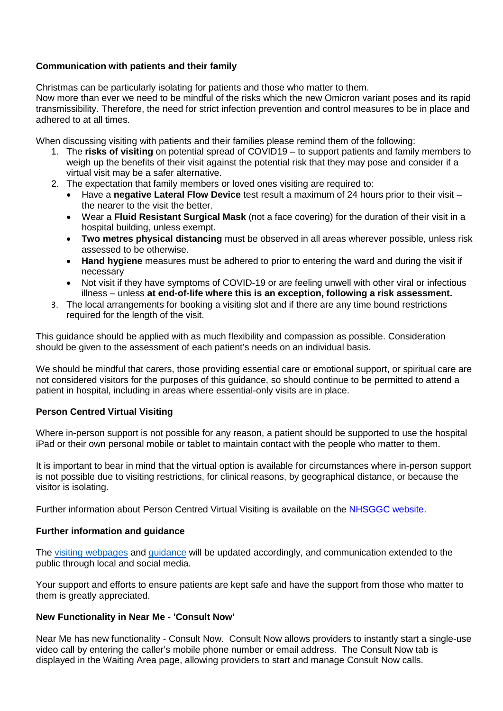# **Communication with patients and their family**

Christmas can be particularly isolating for patients and those who matter to them.

Now more than ever we need to be mindful of the risks which the new Omicron variant poses and its rapid transmissibility. Therefore, the need for strict infection prevention and control measures to be in place and adhered to at all times.

When discussing visiting with patients and their families please remind them of the following:

- 1. The **risks of visiting** on potential spread of COVID19 to support patients and family members to weigh up the benefits of their visit against the potential risk that they may pose and consider if a virtual visit may be a safer alternative.
- 2. The expectation that family members or loved ones visiting are required to:
	- Have a **negative Lateral Flow Device** test result a maximum of 24 hours prior to their visit the nearer to the visit the better.
	- Wear a **Fluid Resistant Surgical Mask** (not a face covering) for the duration of their visit in a hospital building, unless exempt.
	- **Two metres physical distancing** must be observed in all areas wherever possible, unless risk assessed to be otherwise.
	- **Hand hygiene** measures must be adhered to prior to entering the ward and during the visit if necessary
	- Not visit if they have symptoms of COVID-19 or are feeling unwell with other viral or infectious illness – unless **at end-of-life where this is an exception, following a risk assessment.**
- 3. The local arrangements for booking a visiting slot and if there are any time bound restrictions required for the length of the visit.

This guidance should be applied with as much flexibility and compassion as possible. Consideration should be given to the assessment of each patient's needs on an individual basis.

We should be mindful that carers, those providing essential care or emotional support, or spiritual care are not considered visitors for the purposes of this guidance, so should continue to be permitted to attend a patient in hospital, including in areas where essential-only visits are in place.

## **Person Centred Virtual Visiting**

Where in-person support is not possible for any reason, a patient should be supported to use the hospital iPad or their own personal mobile or tablet to maintain contact with the people who matter to them.

It is important to bear in mind that the virtual option is available for circumstances where in-person support is not possible due to visiting restrictions, for clinical reasons, by geographical distance, or because the visitor is isolating.

Further information about Person Centred Virtual Visiting is available on the [NHSGGC website.](https://www.nhsggc.org.uk/patients-and-visitors/person-centred-visiting/person-centred-virtual-visiting/)

## **Further information and guidance**

The [visiting webpages](https://www.nhsggc.org.uk/your-health/health-issues/covid-19-coronavirus/covid-19-info-for-nhsggc-staff/for-acute-medical-dental-staff/hospital-visiting-info-toolkit/) and [guidance](https://www.nhsggc.org.uk/media/268968/nhsggc-local-toolkit-for-hospital-visiting-v1d1.pdf) will be updated accordingly, and communication extended to the public through local and social media.

Your support and efforts to ensure patients are kept safe and have the support from those who matter to them is greatly appreciated.

## **New Functionality in Near Me - 'Consult Now'**

Near Me has new functionality - Consult Now. Consult Now allows providers to instantly start a single-use video call by entering the caller's mobile phone number or email address. The Consult Now tab is displayed in the Waiting Area page, allowing providers to start and manage Consult Now calls.